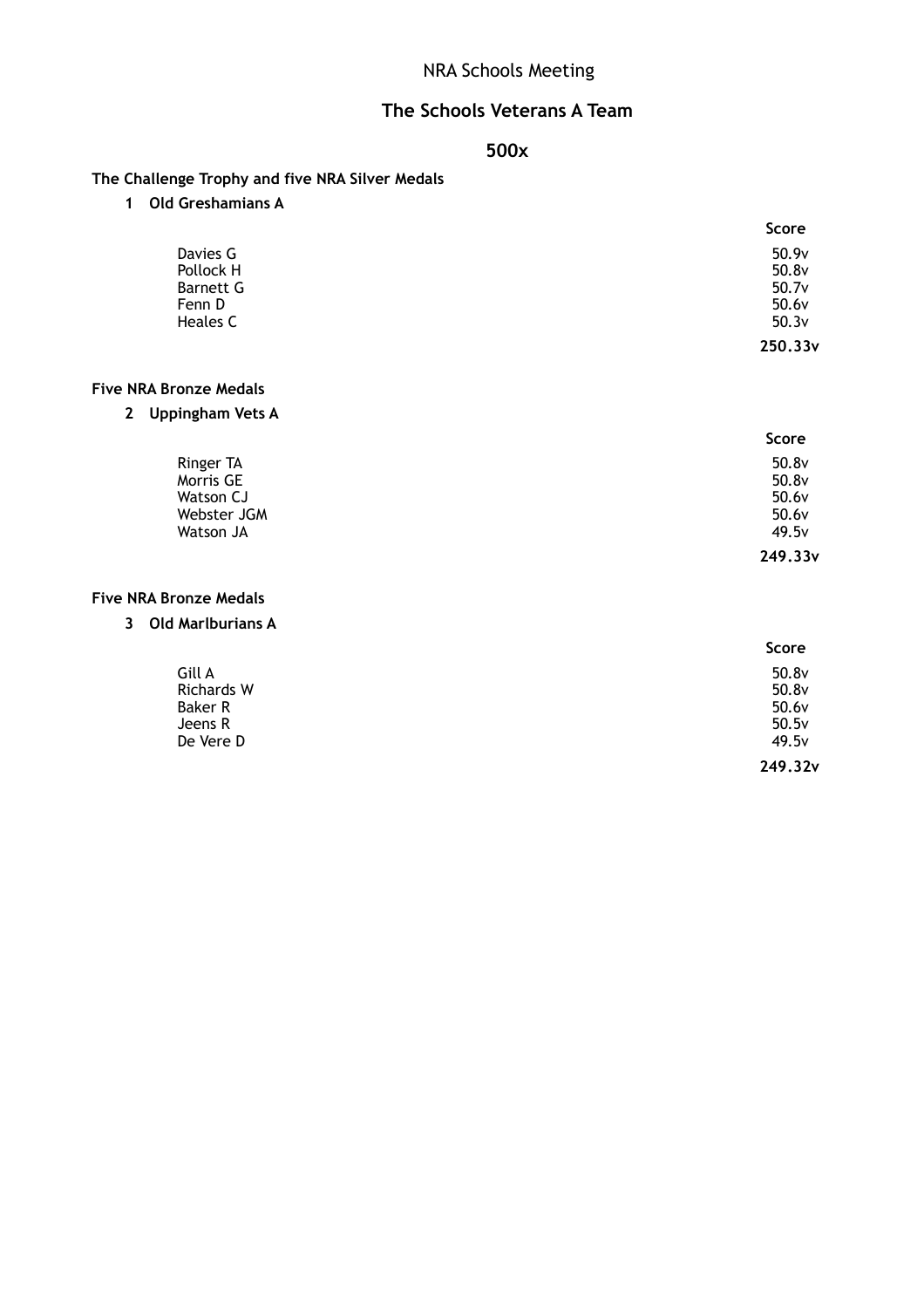# NRA Schools Meeting

## **The Schools Veterans A Team**

### **500x**

**The Challenge Trophy and five NRA Silver Medals**

**1 Old Greshamians A**

|           | <b>Score</b> |
|-----------|--------------|
| Davies G  | 50.9v        |
| Pollock H | 50.8v        |
| Barnett G | 50.7v        |
| Fenn D    | 50.6v        |
| Heales C  | 50.3v        |
|           | 250.33v      |

#### **Five NRA Bronze Medals**

**2 Uppingham Vets A**

|             | <b>Score</b>        |
|-------------|---------------------|
| Ringer TA   | 50.8v               |
| Morris GE   | 50.8v               |
| Watson CJ   | 50.6v               |
| Webster JGM | 50.6v               |
| Watson JA   | 49.5v               |
|             | 249.33 <sub>v</sub> |

#### **Five NRA Bronze Medals**

**3 Old Marlburians A**

|                   | Score   |
|-------------------|---------|
| Gill A            | 50.8v   |
| <b>Richards W</b> | 50.8v   |
| Baker R           | 50.6v   |
| Jeens R           | 50.5v   |
| De Vere D         | 49.5v   |
|                   | 249.32v |